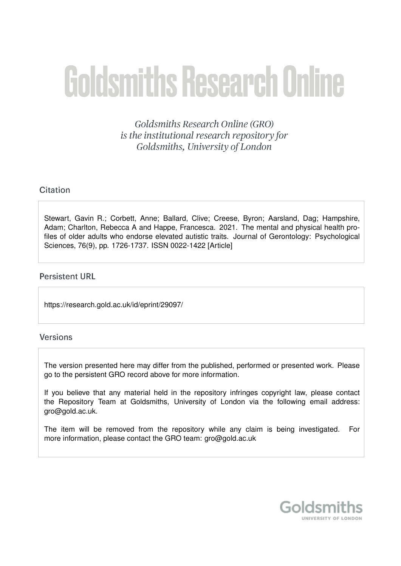# **Goldsmiths Research Online**

Goldsmiths Research Online (GRO) is the institutional research repository for Goldsmiths, University of London

# Citation

Stewart, Gavin R.; Corbett, Anne; Ballard, Clive; Creese, Byron; Aarsland, Dag; Hampshire, Adam; Charlton, Rebecca A and Happe, Francesca. 2021. The mental and physical health profiles of older adults who endorse elevated autistic traits. Journal of Gerontology: Psychological Sciences, 76(9), pp. 1726-1737. ISSN 0022-1422 [Article]

# **Persistent URL**

https://research.gold.ac.uk/id/eprint/29097/

# Versions

The version presented here may differ from the published, performed or presented work. Please go to the persistent GRO record above for more information.

If you believe that any material held in the repository infringes copyright law, please contact the Repository Team at Goldsmiths, University of London via the following email address: gro@gold.ac.uk.

The item will be removed from the repository while any claim is being investigated. For more information, please contact the GRO team: gro@gold.ac.uk

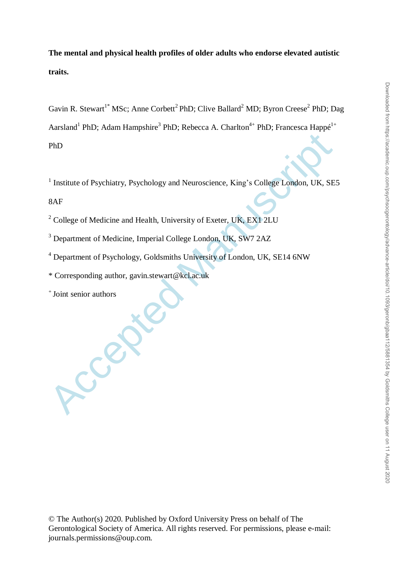**The mental and physical health profiles of older adults who endorse elevated autistic traits.**

Gavin R. Stewart<sup>1\*</sup> MSc; Anne Corbett<sup>2</sup> PhD; Clive Ballard<sup>2</sup> MD; Byron Creese<sup>2</sup> PhD; Dag Aarsland<sup>1</sup> PhD; Adam Hampshire<sup>3</sup> PhD; Rebecca A. Charlton<sup>4+</sup> PhD; Francesca Happé<sup>1+</sup> PhD

<sup>1</sup> Institute of Psychiatry, Psychology and Neuroscience, King's College London, UK, SE5

8AF

<sup>2</sup> College of Medicine and Health, University of Exeter, UK, EX1 2LU

<sup>3</sup> Department of Medicine, Imperial College London, UK, SW7 2AZ

<sup>4</sup> Department of Psychology, Goldsmiths University of London, UK, SE14 6NW

\* Corresponding author, gavin.stewart@kcl.ac.uk

+ Joint senior authors

Accept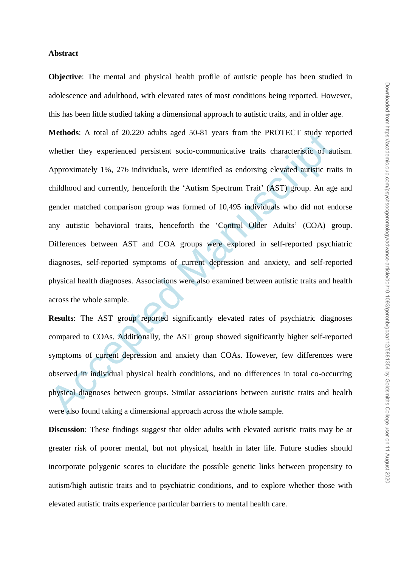#### **Abstract**

**Objective**: The mental and physical health profile of autistic people has been studied in adolescence and adulthood, with elevated rates of most conditions being reported. However, this has been little studied taking a dimensional approach to autistic traits, and in older age.

Methods: A total of 20,220 adults aged 50-81 years from the PKOTECT study represented persistent socio-communicative traits characteristic of aure whether they experienced persistent socio-communicative traits characterist **Methods**: A total of 20,220 adults aged 50-81 years from the PROTECT study reported whether they experienced persistent socio-communicative traits characteristic of autism. Approximately 1%, 276 individuals, were identified as endorsing elevated autistic traits in childhood and currently, henceforth the "Autism Spectrum Trait" (AST) group. An age and gender matched comparison group was formed of 10,495 individuals who did not endorse any autistic behavioral traits, henceforth the "Control Older Adults" (COA) group. Differences between AST and COA groups were explored in self-reported psychiatric diagnoses, self-reported symptoms of current depression and anxiety, and self-reported physical health diagnoses. Associations were also examined between autistic traits and health across the whole sample.

**Results**: The AST group reported significantly elevated rates of psychiatric diagnoses compared to COAs. Additionally, the AST group showed significantly higher self-reported symptoms of current depression and anxiety than COAs. However, few differences were observed in individual physical health conditions, and no differences in total co-occurring physical diagnoses between groups. Similar associations between autistic traits and health were also found taking a dimensional approach across the whole sample.

**Discussion**: These findings suggest that older adults with elevated autistic traits may be at greater risk of poorer mental, but not physical, health in later life. Future studies should incorporate polygenic scores to elucidate the possible genetic links between propensity to autism/high autistic traits and to psychiatric conditions, and to explore whether those with elevated autistic traits experience particular barriers to mental health care.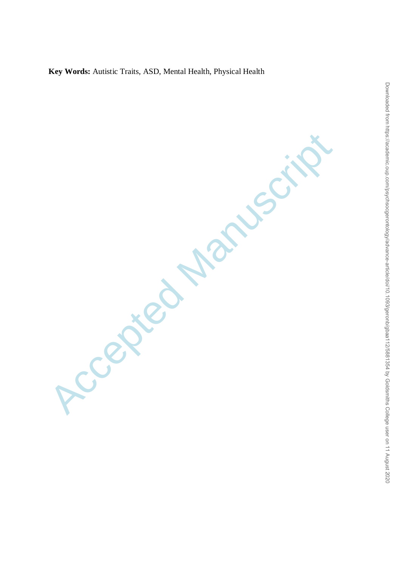**Key Words:** Autistic Traits, ASD, Mental Health, Physical Health

Accepted Manuscript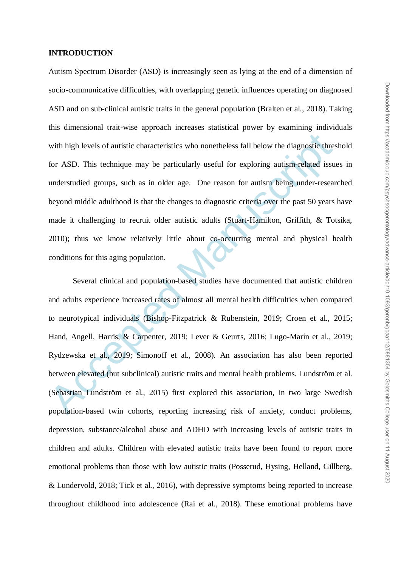#### **INTRODUCTION**

Autism Spectrum Disorder (ASD) is increasingly seen as lying at the end of a dimension of socio-communicative difficulties, with overlapping genetic influences operating on diagnosed ASD and on sub-clinical autistic traits in the general population (Bralten et al., 2018). Taking this dimensional trait-wise approach increases statistical power by examining individuals with high levels of autistic characteristics who nonetheless fall below the diagnostic threshold for ASD. This technique may be particularly useful for exploring autism-related issues in understudied groups, such as in older age. One reason for autism being under-researched beyond middle adulthood is that the changes to diagnostic criteria over the past 50 years have made it challenging to recruit older autistic adults (Stuart-Hamilton, Griffith, & Totsika, 2010); thus we know relatively little about co-occurring mental and physical health conditions for this aging population.

with high levels of autistic characteristics who nonetheless fall below the diagnostic thres<br>for ASD. This technique may be particularly useful for exploring autism-related issue<br>understudied groups, such as in older age. Several clinical and population-based studies have documented that autistic children and adults experience increased rates of almost all mental health difficulties when compared to neurotypical individuals (Bishop-Fitzpatrick & Rubenstein, 2019; Croen et al., 2015; Hand, Angell, Harris, & Carpenter, 2019; Lever & Geurts, 2016; Lugo-Marín et al., 2019; Rydzewska et al., 2019; Simonoff et al., 2008). An association has also been reported between elevated (but subclinical) autistic traits and mental health problems. Lundström et al. (Sebastian Lundström et al., 2015) first explored this association, in two large Swedish population-based twin cohorts, reporting increasing risk of anxiety, conduct problems, depression, substance/alcohol abuse and ADHD with increasing levels of autistic traits in children and adults. Children with elevated autistic traits have been found to report more emotional problems than those with low autistic traits (Posserud, Hysing, Helland, Gillberg, & Lundervold, 2018; Tick et al., 2016), with depressive symptoms being reported to increase throughout childhood into adolescence (Rai et al., 2018). These emotional problems have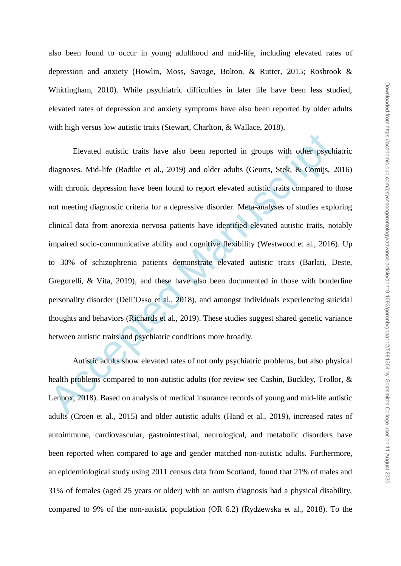also been found to occur in young adulthood and mid-life, including elevated rates of depression and anxiety (Howlin, Moss, Savage, Bolton, & Rutter, 2015; Rosbrook & Whittingham, 2010). While psychiatric difficulties in later life have been less studied, elevated rates of depression and anxiety symptoms have also been reported by older adults with high versus low autistic traits (Stewart, Charlton, & Wallace, 2018).

Elevated autistic traits have also been reported in groups with other psychiatagnoses. Mid-life (Radtke et al., 2019) and older adults (Geurts, Stek, & Comijs, 2<br>with chronic depression have been found to report elevated a Elevated autistic traits have also been reported in groups with other psychiatric diagnoses. Mid-life (Radtke et al., 2019) and older adults (Geurts, Stek, & Comijs, 2016) with chronic depression have been found to report elevated autistic traits compared to those not meeting diagnostic criteria for a depressive disorder. Meta-analyses of studies exploring clinical data from anorexia nervosa patients have identified elevated autistic traits, notably impaired socio-communicative ability and cognitive flexibility (Westwood et al., 2016). Up to 30% of schizophrenia patients demonstrate elevated autistic traits (Barlati, Deste, Gregorelli, & Vita, 2019), and these have also been documented in those with borderline personality disorder (Dell"Osso et al., 2018), and amongst individuals experiencing suicidal thoughts and behaviors (Richards et al., 2019). These studies suggest shared genetic variance between autistic traits and psychiatric conditions more broadly.

Autistic adults show elevated rates of not only psychiatric problems, but also physical health problems compared to non-autistic adults (for review see Cashin, Buckley, Trollor, & Lennox, 2018). Based on analysis of medical insurance records of young and mid-life autistic adults (Croen et al., 2015) and older autistic adults (Hand et al., 2019), increased rates of autoimmune, cardiovascular, gastrointestinal, neurological, and metabolic disorders have been reported when compared to age and gender matched non-autistic adults*.* Furthermore, an epidemiological study using 2011 census data from Scotland, found that 21% of males and 31% of females (aged 25 years or older) with an autism diagnosis had a physical disability, compared to 9% of the non-autistic population (OR 6.2) (Rydzewska et al., 2018). To the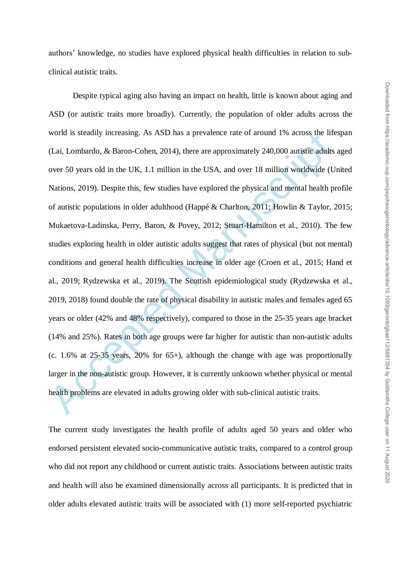authors" knowledge, no studies have explored physical health difficulties in relation to subclinical autistic traits.

word is steadily increasing. As ASD has a prevalence rate of around 1% across the lift (Lai, Lombardo, & Baron-Cohen, 2014), there are approximately 240,000 autistic adults over 50 years old in the UK, 1.1 million in the Despite typical aging also having an impact on health, little is known about aging and ASD (or autistic traits more broadly). Currently, the population of older adults across the world is steadily increasing. As ASD has a prevalence rate of around 1% across the lifespan (Lai, Lombardo, & Baron-Cohen, 2014), there are approximately 240,000 autistic adults aged over 50 years old in the UK, 1.1 million in the USA, and over 18 million worldwide (United Nations, 2019). Despite this, few studies have explored the physical and mental health profile of autistic populations in older adulthood (Happé & Charlton, 2011; Howlin & Taylor, 2015; Mukaetova-Ladinska, Perry, Baron, & Povey, 2012; Stuart-Hamilton et al., 2010). The few studies exploring health in older autistic adults suggest that rates of physical (but not mental) conditions and general health difficulties increase in older age (Croen et al., 2015; Hand et al., 2019; Rydzewska et al., 2019). The Scottish epidemiological study (Rydzewska et al., 2019, 2018) found double the rate of physical disability in autistic males and females aged 65 years or older (42% and 48% respectively), compared to those in the 25-35 years age bracket (14% and 25%). Rates in both age groups were far higher for autistic than non-autistic adults (c. 1.6% at 25-35 years, 20% for  $65+$ ), although the change with age was proportionally larger in the non-autistic group. However, it is currently unknown whether physical or mental health problems are elevated in adults growing older with sub-clinical autistic traits.

The current study investigates the health profile of adults aged 50 years and older who endorsed persistent elevated socio-communicative autistic traits, compared to a control group who did not report any childhood or current autistic traits. Associations between autistic traits and health will also be examined dimensionally across all participants. It is predicted that in older adults elevated autistic traits will be associated with (1) more self-reported psychiatric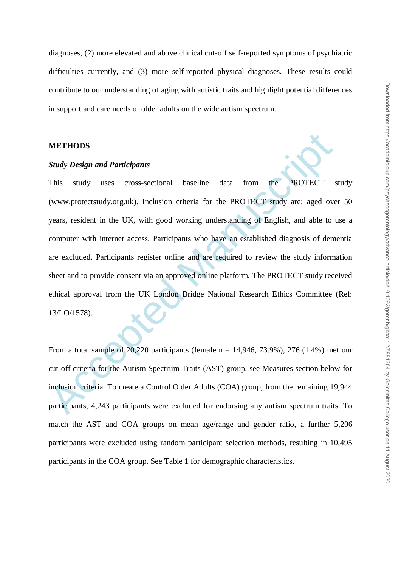diagnoses, (2) more elevated and above clinical cut-off self-reported symptoms of psychiatric difficulties currently, and (3) more self-reported physical diagnoses. These results could contribute to our understanding of aging with autistic traits and highlight potential differences in support and care needs of older adults on the wide autism spectrum.

## **METHODS**

#### *Study Design and Participants*

**METHODS**<br> **Study Design and Participants**<br>
This study uses cross-sectional baseline data from the PROTECT study uses cross-sectional baseline data from the PROTECT study are:<br>
(www.protectstudy.org.uk). Inclusion criteri This study uses cross-sectional baseline data from the PROTECT study (www.protectstudy.org.uk). Inclusion criteria for the PROTECT study are: aged over 50 years, resident in the UK, with good working understanding of English, and able to use a computer with internet access. Participants who have an established diagnosis of dementia are excluded. Participants register online and are required to review the study information sheet and to provide consent via an approved online platform. The PROTECT study received ethical approval from the UK London Bridge National Research Ethics Committee (Ref: 13/LO/1578).

From a total sample of 20,220 participants (female  $n = 14,946, 73.9\%$ ), 276 (1.4%) met our cut-off criteria for the Autism Spectrum Traits (AST) group, see Measures section below for inclusion criteria. To create a Control Older Adults (COA) group, from the remaining 19,944 participants, 4,243 participants were excluded for endorsing any autism spectrum traits. To match the AST and COA groups on mean age/range and gender ratio, a further 5,206 participants were excluded using random participant selection methods, resulting in 10,495 participants in the COA group. See Table 1 for demographic characteristics.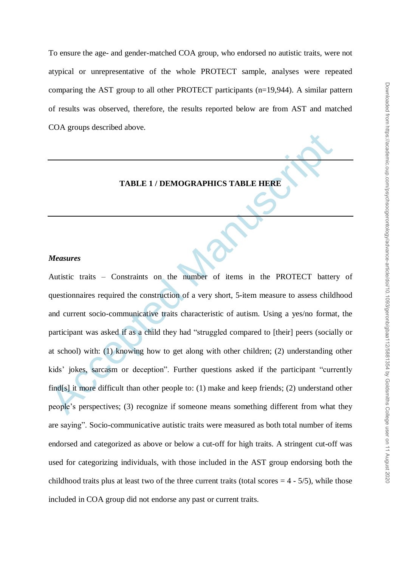To ensure the age- and gender-matched COA group, who endorsed no autistic traits, were not atypical or unrepresentative of the whole PROTECT sample, analyses were repeated comparing the AST group to all other PROTECT participants (n=19,944). A similar pattern of results was observed, therefore, the results reported below are from AST and matched COA groups described above.

#### **TABLE 1 / DEMOGRAPHICS TABLE HERE**

#### *Measures*

TABLE 1/DEMOGRAPHICS TABLE HERE<br>
Measures<br>
Autistic traits – Constraints on the number of items in the PROTECT batter<br>
questionnaires required the construction of a very short, 5-item measure to assess child<br>
and current s Autistic traits – Constraints on the number of items in the PROTECT battery of questionnaires required the construction of a very short, 5-item measure to assess childhood and current socio-communicative traits characteristic of autism. Using a yes/no format, the participant was asked if as a child they had "struggled compared to [their] peers (socially or at school) with: (1) knowing how to get along with other children; (2) understanding other kids" jokes, sarcasm or deception". Further questions asked if the participant "currently find[s] it more difficult than other people to: (1) make and keep friends; (2) understand other people"s perspectives; (3) recognize if someone means something different from what they are saying". Socio-communicative autistic traits were measured as both total number of items endorsed and categorized as above or below a cut-off for high traits. A stringent cut-off was used for categorizing individuals, with those included in the AST group endorsing both the childhood traits plus at least two of the three current traits (total scores  $= 4 - 5/5$ ), while those included in COA group did not endorse any past or current traits.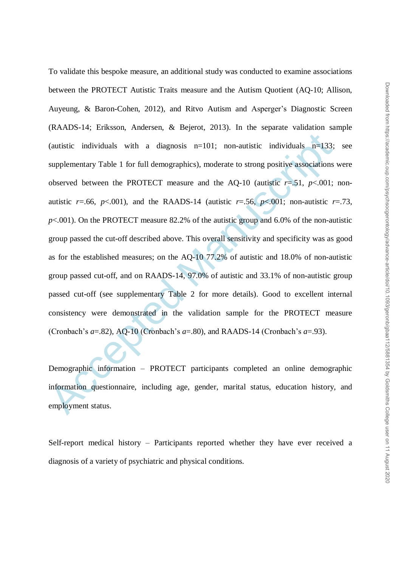(autistic individuals with a diagnosis n=101; non-autistic individuals n=133;<br>supplementary Table 1 for full demographics), moderate to strong positive associations<br>observed between the PROTECT measure and the AQ-10 (auti To validate this bespoke measure, an additional study was conducted to examine associations between the PROTECT Autistic Traits measure and the Autism Quotient (AQ-10; Allison, Auyeung, & Baron-Cohen, 2012), and Ritvo Autism and Asperger"s Diagnostic Screen (RAADS-14; Eriksson, Andersen, & Bejerot, 2013). In the separate validation sample (autistic individuals with a diagnosis  $n=101$ ; non-autistic individuals  $n=133$ ; see supplementary Table 1 for full demographics), moderate to strong positive associations were observed between the PROTECT measure and the AQ-10 (autistic  $r = .51$ ,  $p < .001$ ; nonautistic  $r = .66$ ,  $p < .001$ ), and the RAADS-14 (autistic  $r = .56$ ,  $p < .001$ ; non-autistic  $r = .73$ , *p*<.001). On the PROTECT measure 82.2% of the autistic group and 6.0% of the non-autistic group passed the cut-off described above. This overall sensitivity and specificity was as good as for the established measures; on the AQ-10 77.2% of autistic and 18.0% of non-autistic group passed cut-off, and on RAADS-14, 97.0% of autistic and 33.1% of non-autistic group passed cut-off (see supplementary Table 2 for more details). Good to excellent internal consistency were demonstrated in the validation sample for the PROTECT measure (Cronbach's  $a=0.82$ ), AQ-10 (Cronbach's  $a=0.80$ ), and RAADS-14 (Cronbach's  $a=0.93$ ).

Demographic information – PROTECT participants completed an online demographic information questionnaire, including age, gender, marital status, education history, and employment status.

Self-report medical history – Participants reported whether they have ever received a diagnosis of a variety of psychiatric and physical conditions.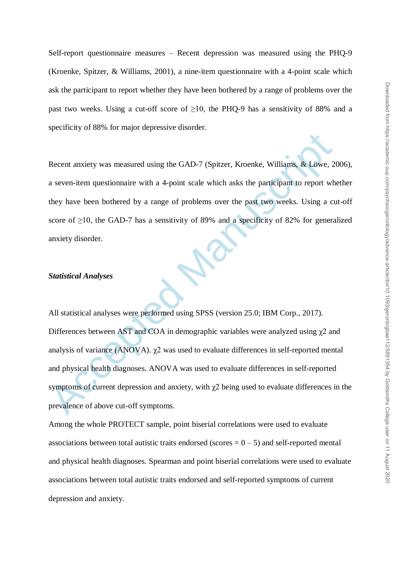Self-report questionnaire measures – Recent depression was measured using the PHQ-9 (Kroenke, Spitzer, & Williams, 2001), a nine-item questionnaire with a 4-point scale which ask the participant to report whether they have been bothered by a range of problems over the past two weeks. Using a cut-off score of ≥10, the PHQ-9 has a sensitivity of 88% and a specificity of 88% for major depressive disorder.

Recent anxiety was measured using the GAD-7 (Spitzer, Kroenke, Williams, & Löwe, 2006), a seven-item questionnaire with a 4-point scale which asks the participant to report whether they have been bothered by a range of problems over the past two weeks. Using a cut-off score of  $\geq$ 10, the GAD-7 has a sensitivity of 89% and a specificity of 82% for generalized anxiety disorder.

## *Statistical Analyses*

Recent anxiety was measured using the GAD-7 (Spitzer, Kroenke, Williams, & Löwe, 20<br>
a seven-item questionnaire with a 4-point scale which asks the participant to report where<br>
they have been bothered by a range of proble All statistical analyses were performed using SPSS (version 25.0; IBM Corp., 2017). Differences between AST and COA in demographic variables were analyzed using  $\chi$ 2 and analysis of variance (ANOVA). χ2 was used to evaluate differences in self-reported mental and physical health diagnoses. ANOVA was used to evaluate differences in self-reported symptoms of current depression and anxiety, with  $\chi$ 2 being used to evaluate differences in the prevalence of above cut-off symptoms.

Among the whole PROTECT sample, point biserial correlations were used to evaluate associations between total autistic traits endorsed (scores  $= 0 - 5$ ) and self-reported mental and physical health diagnoses. Spearman and point biserial correlations were used to evaluate associations between total autistic traits endorsed and self-reported symptoms of current depression and anxiety.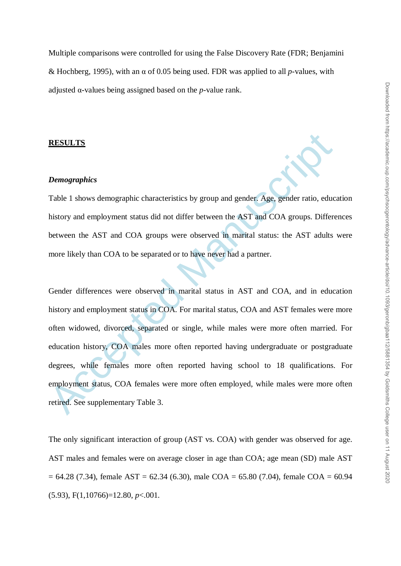Multiple comparisons were controlled for using the False Discovery Rate (FDR; Benjamini & Hochberg, 1995), with an α of 0.05 being used. FDR was applied to all *p*-values, with adjusted α-values being assigned based on the *p*-value rank.

#### **RESULTS**

#### *Demographics*

Table 1 shows demographic characteristics by group and gender. Age, gender ratio, education history and employment status did not differ between the AST and COA groups. Differences between the AST and COA groups were observed in marital status: the AST adults were more likely than COA to be separated or to have never had a partner.

**RESULTS**<br> **Demographies**<br> **Cable 1 shows demographic characteristics by group and gender. Age, gender ratio, eductions and employment status did not differ between the AST and COA groups. Differe<br>
between the AST and COA** Gender differences were observed in marital status in AST and COA, and in education history and employment status in COA. For marital status, COA and AST females were more often widowed, divorced, separated or single, while males were more often married. For education history, COA males more often reported having undergraduate or postgraduate degrees, while females more often reported having school to 18 qualifications. For employment status, COA females were more often employed, while males were more often retired. See supplementary Table 3.

The only significant interaction of group (AST vs. COA) with gender was observed for age. AST males and females were on average closer in age than COA; age mean (SD) male AST  $= 64.28$  (7.34), female AST = 62.34 (6.30), male COA = 65.80 (7.04), female COA = 60.94 (5.93), F(1,10766)=12.80, *p*<.001.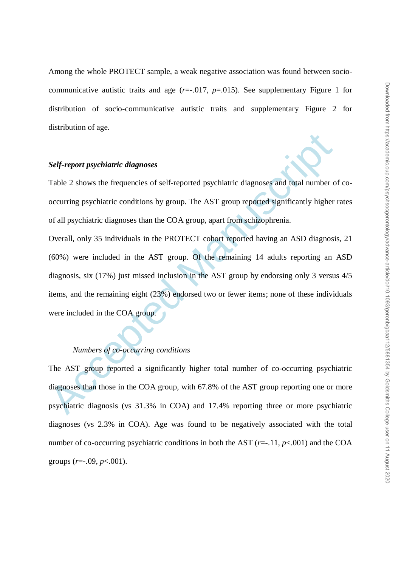Among the whole PROTECT sample, a weak negative association was found between sociocommunicative autistic traits and age  $(r=-.017, p=.015)$ . See supplementary Figure 1 for distribution of socio-communicative autistic traits and supplementary Figure 2 for distribution of age.

#### *Self-report psychiatric diagnoses*

Table 2 shows the frequencies of self-reported psychiatric diagnoses and total number of cooccurring psychiatric conditions by group. The AST group reported significantly higher rates of all psychiatric diagnoses than the COA group, apart from schizophrenia.

Self-report psychiatric diagnoses<br>
Table 2 shows the frequencies of self-reported psychiatric diagnoses and total number o<br>
occurring psychiatric conditions by group. The AST group reported significantly higher<br>
of all psy Overall, only 35 individuals in the PROTECT cohort reported having an ASD diagnosis, 21 (60%) were included in the AST group. Of the remaining 14 adults reporting an ASD diagnosis, six (17%) just missed inclusion in the AST group by endorsing only 3 versus 4/5 items, and the remaining eight (23%) endorsed two or fewer items; none of these individuals were included in the COA group.

# *Numbers of co-occurring conditions*

The AST group reported a significantly higher total number of co-occurring psychiatric diagnoses than those in the COA group, with 67.8% of the AST group reporting one or more psychiatric diagnosis (vs 31.3% in COA) and 17.4% reporting three or more psychiatric diagnoses (vs 2.3% in COA). Age was found to be negatively associated with the total number of co-occurring psychiatric conditions in both the AST  $(r=.11, p<.001)$  and the COA groups (*r*=-.09, *p*<.001).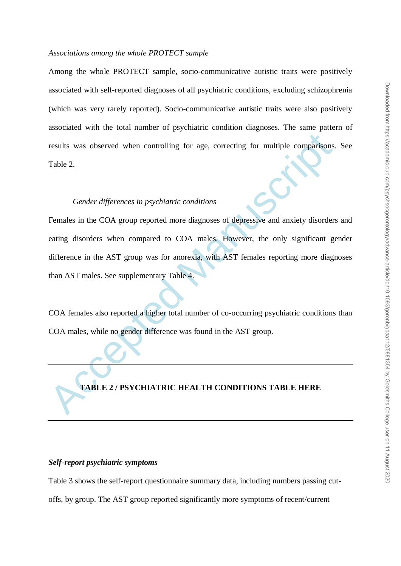#### *Associations among the whole PROTECT sample*

Among the whole PROTECT sample, socio-communicative autistic traits were positively associated with self-reported diagnoses of all psychiatric conditions, excluding schizophrenia (which was very rarely reported). Socio-communicative autistic traits were also positively associated with the total number of psychiatric condition diagnoses. The same pattern of results was observed when controlling for age, correcting for multiple comparisons. See Table 2.

#### *Gender differences in psychiatric conditions*

results was observed when controlling for age, correcting for multiple comparisons.<br>
Table 2.<br> *Gender differences in psychiatric conditions*<br>
Females in the COA group reported more diagnoses of depressive and anxiety diso Females in the COA group reported more diagnoses of depressive and anxiety disorders and eating disorders when compared to COA males. However, the only significant gender difference in the AST group was for anorexia, with AST females reporting more diagnoses than AST males. See supplementary Table 4.

COA females also reported a higher total number of co-occurring psychiatric conditions than COA males, while no gender difference was found in the AST group.

# **TABLE 2 / PSYCHIATRIC HEALTH CONDITIONS TABLE HERE**

#### *Self-report psychiatric symptoms*

Table 3 shows the self-report questionnaire summary data, including numbers passing cutoffs, by group. The AST group reported significantly more symptoms of recent/current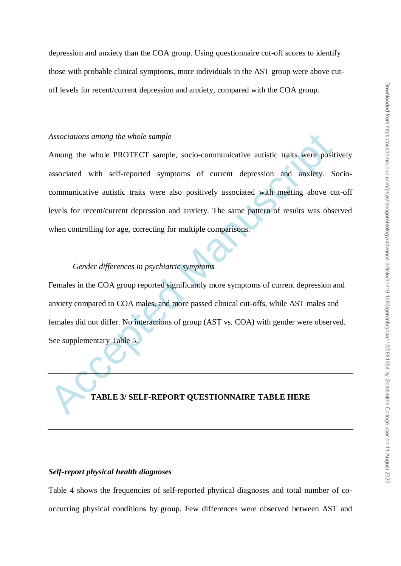depression and anxiety than the COA group. Using questionnaire cut-off scores to identify those with probable clinical symptoms, more individuals in the AST group were above cutoff levels for recent/current depression and anxiety, compared with the COA group.

### *Associations among the whole sample*

Associations among the whole sample<br>
Among the whole PROTECT sample, socio-communicative autistic traits, were positive<br>
associated with self-reported symptoms of current depression and anxiety. So<br>
communicative autistic Among the whole PROTECT sample, socio-communicative autistic traits were positively associated with self-reported symptoms of current depression and anxiety. Sociocommunicative autistic traits were also positively associated with meeting above cut-off levels for recent/current depression and anxiety. The same pattern of results was observed when controlling for age, correcting for multiple comparisons.

#### *Gender differences in psychiatric symptoms*

Females in the COA group reported significantly more symptoms of current depression and anxiety compared to COA males, and more passed clinical cut-offs, while AST males and females did not differ. No interactions of group (AST vs. COA) with gender were observed. See supplementary Table 5.

## **TABLE 3/ SELF-REPORT QUESTIONNAIRE TABLE HERE**

#### *Self-report physical health diagnoses*

Table 4 shows the frequencies of self-reported physical diagnoses and total number of cooccurring physical conditions by group. Few differences were observed between AST and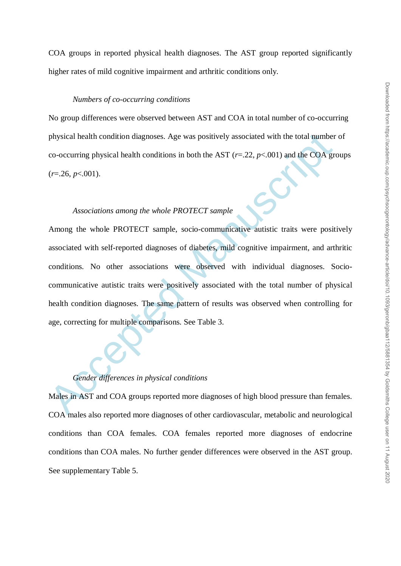COA groups in reported physical health diagnoses. The AST group reported significantly higher rates of mild cognitive impairment and arthritic conditions only.

#### *Numbers of co-occurring conditions*

No group differences were observed between AST and COA in total number of co-occurring physical health condition diagnoses. Age was positively associated with the total number of co-occurring physical health conditions in both the AST  $(r=.22, p<.001)$  and the COA groups  $(r=26, p<.001)$ .

## *Associations among the whole PROTECT sample*

physical health condition diagnoses. Age was positively associated with the total number<br>co-occurring physical health conditions in both the AST  $(r=22, p<0.01)$  and the COA gre<br> $(r=26, p<0.01)$ .<br>Associations among the whole Among the whole PROTECT sample, socio-communicative autistic traits were positively associated with self-reported diagnoses of diabetes, mild cognitive impairment, and arthritic conditions. No other associations were observed with individual diagnoses. Sociocommunicative autistic traits were positively associated with the total number of physical health condition diagnoses. The same pattern of results was observed when controlling for age, correcting for multiple comparisons. See Table 3.

# *Gender differences in physical conditions*

Males in AST and COA groups reported more diagnoses of high blood pressure than females. COA males also reported more diagnoses of other cardiovascular, metabolic and neurological conditions than COA females. COA females reported more diagnoses of endocrine conditions than COA males. No further gender differences were observed in the AST group. See supplementary Table 5.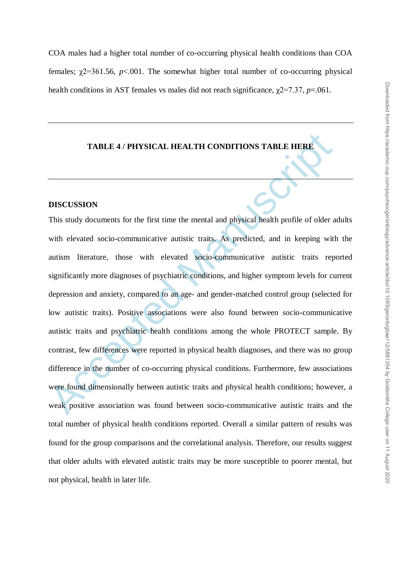COA males had a higher total number of co-occurring physical health conditions than COA females:  $\gamma$ 2=361.56, *p*<.001. The somewhat higher total number of co-occurring physical health conditions in AST females vs males did not reach significance,  $\chi$ 2=7.37, *p*=.061.

#### **TABLE 4 / PHYSICAL HEALTH CONDITIONS TABLE HERE**

#### **DISCUSSION**

TABLE 4/PHYSICAL HEALTH CONDITIONS TABLE HERE<br>
MISCUSSION<br>
This study documents for the first time the mental and physical health profile of older a<br>
with elevated socio-communicative autistic traits. As predicted, and in This study documents for the first time the mental and physical health profile of older adults with elevated socio-communicative autistic traits. As predicted, and in keeping with the autism literature, those with elevated socio-communicative autistic traits reported significantly more diagnoses of psychiatric conditions, and higher symptom levels for current depression and anxiety, compared to an age- and gender-matched control group (selected for low autistic traits). Positive associations were also found between socio-communicative autistic traits and psychiatric health conditions among the whole PROTECT sample. By contrast, few differences were reported in physical health diagnoses, and there was no group difference in the number of co-occurring physical conditions. Furthermore, few associations were found dimensionally between autistic traits and physical health conditions; however, a weak positive association was found between socio-communicative autistic traits and the total number of physical health conditions reported. Overall a similar pattern of results was found for the group comparisons and the correlational analysis. Therefore, our results suggest that older adults with elevated autistic traits may be more susceptible to poorer mental, but not physical, health in later life.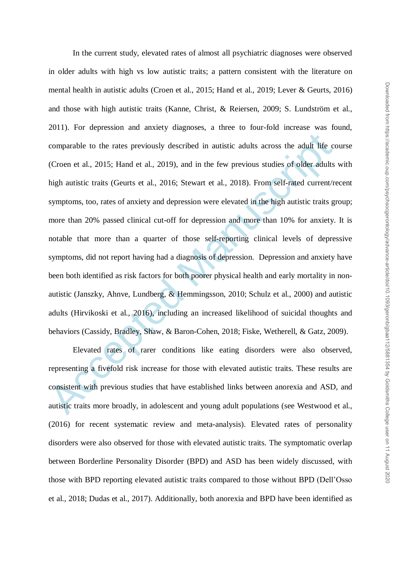comparable to the rates previously described in autistic adults across the adult life co<br>(Croen et al., 2015; Hand et al., 2019), and in the few previous studies of older adults<br>high autistic traits (Geurts et al., 2016; S In the current study, elevated rates of almost all psychiatric diagnoses were observed in older adults with high vs low autistic traits; a pattern consistent with the literature on mental health in autistic adults (Croen et al., 2015; Hand et al., 2019; Lever & Geurts, 2016) and those with high autistic traits (Kanne, Christ, & Reiersen, 2009; S. Lundström et al., 2011). For depression and anxiety diagnoses, a three to four-fold increase was found, comparable to the rates previously described in autistic adults across the adult life course (Croen et al., 2015; Hand et al., 2019), and in the few previous studies of older adults with high autistic traits (Geurts et al., 2016; Stewart et al., 2018). From self-rated current/recent symptoms, too, rates of anxiety and depression were elevated in the high autistic traits group; more than 20% passed clinical cut-off for depression and more than 10% for anxiety. It is notable that more than a quarter of those self-reporting clinical levels of depressive symptoms, did not report having had a diagnosis of depression. Depression and anxiety have been both identified as risk factors for both poorer physical health and early mortality in nonautistic (Janszky, Ahnve, Lundberg, & Hemmingsson, 2010; Schulz et al., 2000) and autistic adults (Hirvikoski et al., 2016), including an increased likelihood of suicidal thoughts and behaviors (Cassidy, Bradley, Shaw, & Baron-Cohen, 2018; Fiske, Wetherell, & Gatz, 2009).

Elevated rates of rarer conditions like eating disorders were also observed, representing a fivefold risk increase for those with elevated autistic traits. These results are consistent with previous studies that have established links between anorexia and ASD, and autistic traits more broadly, in adolescent and young adult populations (see Westwood et al., (2016) for recent systematic review and meta-analysis). Elevated rates of personality disorders were also observed for those with elevated autistic traits. The symptomatic overlap between Borderline Personality Disorder (BPD) and ASD has been widely discussed, with those with BPD reporting elevated autistic traits compared to those without BPD (Dell"Osso et al., 2018; Dudas et al., 2017). Additionally, both anorexia and BPD have been identified as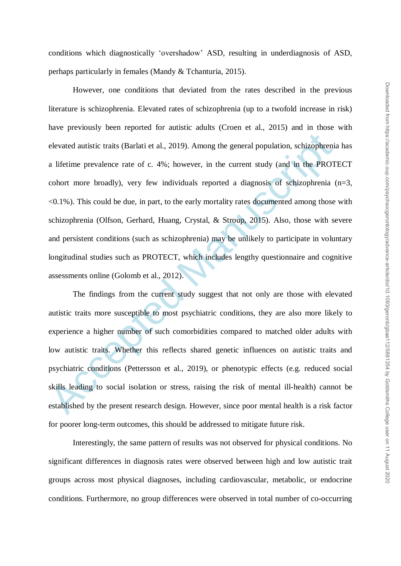conditions which diagnostically "overshadow" ASD, resulting in underdiagnosis of ASD, perhaps particularly in females (Mandy & Tchanturia, 2015).

elevated autistic traits (Barlati et al., 2019). Among the general population, schizophrenia<br>a lifetime prevalence rate of c. 4%; however, in the current study (and in the PROT<br>cohort more broadly), very few individuals re However, one conditions that deviated from the rates described in the previous literature is schizophrenia. Elevated rates of schizophrenia (up to a twofold increase in risk) have previously been reported for autistic adults (Croen et al., 2015) and in those with elevated autistic traits (Barlati et al., 2019). Among the general population, schizophrenia has a lifetime prevalence rate of c. 4%; however, in the current study (and in the PROTECT cohort more broadly), very few individuals reported a diagnosis of schizophrenia (n=3, <0.1%). This could be due, in part, to the early mortality rates documented among those with schizophrenia (Olfson, Gerhard, Huang, Crystal, & Stroup, 2015). Also, those with severe and persistent conditions (such as schizophrenia) may be unlikely to participate in voluntary longitudinal studies such as PROTECT, which includes lengthy questionnaire and cognitive assessments online (Golomb et al., 2012).

The findings from the current study suggest that not only are those with elevated autistic traits more susceptible to most psychiatric conditions, they are also more likely to experience a higher number of such comorbidities compared to matched older adults with low autistic traits. Whether this reflects shared genetic influences on autistic traits and psychiatric conditions (Pettersson et al., 2019), or phenotypic effects (e.g. reduced social skills leading to social isolation or stress, raising the risk of mental ill-health) cannot be established by the present research design. However, since poor mental health is a risk factor for poorer long-term outcomes, this should be addressed to mitigate future risk.

Interestingly, the same pattern of results was not observed for physical conditions. No significant differences in diagnosis rates were observed between high and low autistic trait groups across most physical diagnoses, including cardiovascular, metabolic, or endocrine conditions. Furthermore, no group differences were observed in total number of co-occurring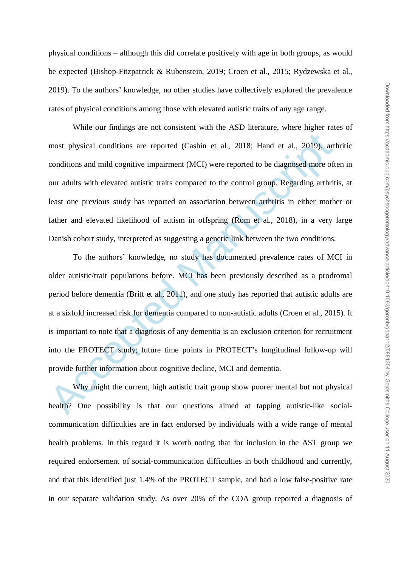physical conditions – although this did correlate positively with age in both groups, as would be expected (Bishop-Fitzpatrick & Rubenstein, 2019; Croen et al., 2015; Rydzewska et al., 2019). To the authors" knowledge, no other studies have collectively explored the prevalence rates of physical conditions among those with elevated autistic traits of any age range.

While our findings are not consistent with the ASD literature, where higher rates of most physical conditions are reported (Cashin et al., 2018; Hand et al., 2019), arthritic conditions and mild cognitive impairment (MCI) were reported to be diagnosed more often in our adults with elevated autistic traits compared to the control group. Regarding arthritis, at least one previous study has reported an association between arthritis in either mother or father and elevated likelihood of autism in offspring (Rom et al., 2018), in a very large Danish cohort study, interpreted as suggesting a genetic link between the two conditions.

most physical conditions are reported (Cashin et al., 2018; Hand et al., 2019), art<br>conditions and mild cognitive impairment (MCI) were reported to be diagnosed more oft<br>our adults with elevated autistic traits compared to To the authors" knowledge, no study has documented prevalence rates of MCI in older autistic/trait populations before. MCI has been previously described as a prodromal period before dementia (Britt et al., 2011), and one study has reported that autistic adults are at a sixfold increased risk for dementia compared to non-autistic adults (Croen et al., 2015). It is important to note that a diagnosis of any dementia is an exclusion criterion for recruitment into the PROTECT study; future time points in PROTECT"s longitudinal follow-up will provide further information about cognitive decline, MCI and dementia.

Why might the current, high autistic trait group show poorer mental but not physical health? One possibility is that our questions aimed at tapping autistic-like socialcommunication difficulties are in fact endorsed by individuals with a wide range of mental health problems. In this regard it is worth noting that for inclusion in the AST group we required endorsement of social-communication difficulties in both childhood and currently, and that this identified just 1.4% of the PROTECT sample, and had a low false-positive rate in our separate validation study. As over 20% of the COA group reported a diagnosis of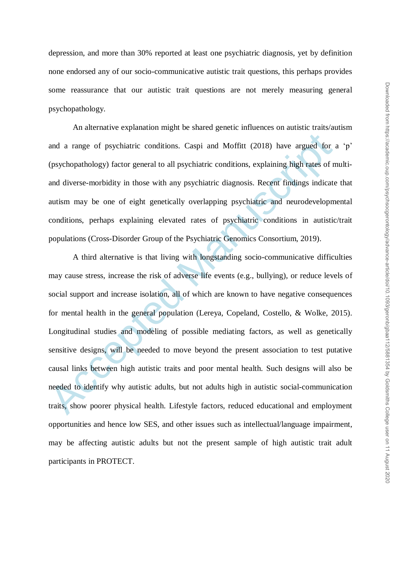depression, and more than 30% reported at least one psychiatric diagnosis, yet by definition none endorsed any of our socio-communicative autistic trait questions, this perhaps provides some reassurance that our autistic trait questions are not merely measuring general psychopathology.

An alternative explanation might be shared genetic influences on autistic traits/autism and a range of psychiatric conditions. Caspi and Moffitt (2018) have argued for a "p" (psychopathology) factor general to all psychiatric conditions, explaining high rates of multiand diverse-morbidity in those with any psychiatric diagnosis. Recent findings indicate that autism may be one of eight genetically overlapping psychiatric and neurodevelopmental conditions, perhaps explaining elevated rates of psychiatric conditions in autistic/trait populations (Cross-Disorder Group of the Psychiatric Genomics Consortium, 2019).

and a range of psychiatric conditions. Caspi and Moffitt (2018) have argued for (psychopathology) factor general to all psychiatric conditions, explaining high rates of n and diverse-morbidity in those with any psychiatric A third alternative is that living with longstanding socio-communicative difficulties may cause stress, increase the risk of adverse life events (e.g., bullying), or reduce levels of social support and increase isolation, all of which are known to have negative consequences for mental health in the general population (Lereya, Copeland, Costello, & Wolke, 2015). Longitudinal studies and modeling of possible mediating factors, as well as genetically sensitive designs, will be needed to move beyond the present association to test putative causal links between high autistic traits and poor mental health. Such designs will also be needed to identify why autistic adults, but not adults high in autistic social-communication traits, show poorer physical health. Lifestyle factors, reduced educational and employment opportunities and hence low SES, and other issues such as intellectual/language impairment, may be affecting autistic adults but not the present sample of high autistic trait adult participants in PROTECT.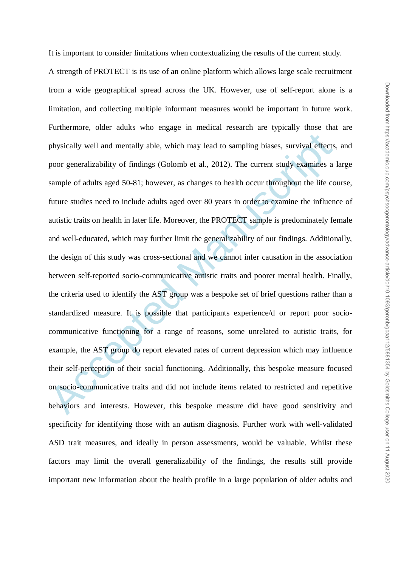It is important to consider limitations when contextualizing the results of the current study.

physically well and mentally able, which may lead to sampling biases, survival effects,<br>poor generalizability of findings (Golomb et al., 2012). The current study examines a<br>sample of adults aged 50-81; however, as changes A strength of PROTECT is its use of an online platform which allows large scale recruitment from a wide geographical spread across the UK. However, use of self-report alone is a limitation, and collecting multiple informant measures would be important in future work. Furthermore, older adults who engage in medical research are typically those that are physically well and mentally able, which may lead to sampling biases, survival effects, and poor generalizability of findings (Golomb et al., 2012). The current study examines a large sample of adults aged 50-81; however, as changes to health occur throughout the life course, future studies need to include adults aged over 80 years in order to examine the influence of autistic traits on health in later life. Moreover, the PROTECT sample is predominately female and well-educated, which may further limit the generalizability of our findings. Additionally, the design of this study was cross-sectional and we cannot infer causation in the association between self-reported socio-communicative autistic traits and poorer mental health. Finally, the criteria used to identify the AST group was a bespoke set of brief questions rather than a standardized measure. It is possible that participants experience/d or report poor sociocommunicative functioning for a range of reasons, some unrelated to autistic traits, for example, the AST group do report elevated rates of current depression which may influence their self-perception of their social functioning. Additionally, this bespoke measure focused on socio-communicative traits and did not include items related to restricted and repetitive behaviors and interests. However, this bespoke measure did have good sensitivity and specificity for identifying those with an autism diagnosis. Further work with well-validated ASD trait measures, and ideally in person assessments, would be valuable. Whilst these factors may limit the overall generalizability of the findings, the results still provide important new information about the health profile in a large population of older adults and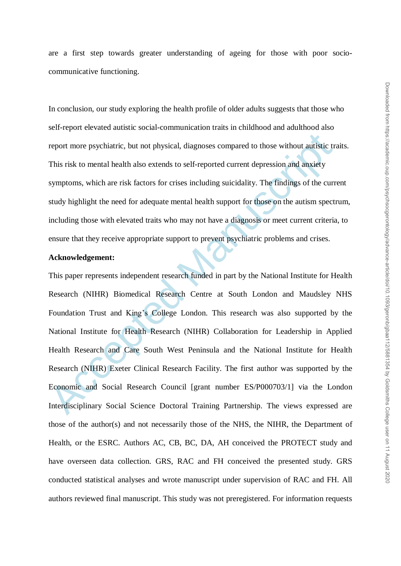are a first step towards greater understanding of ageing for those with poor sociocommunicative functioning.

In conclusion, our study exploring the health profile of older adults suggests that those who self-report elevated autistic social-communication traits in childhood and adulthood also report more psychiatric, but not physical, diagnoses compared to those without autistic traits. This risk to mental health also extends to self-reported current depression and anxiety symptoms, which are risk factors for crises including suicidality. The findings of the current study highlight the need for adequate mental health support for those on the autism spectrum, including those with elevated traits who may not have a diagnosis or meet current criteria, to ensure that they receive appropriate support to prevent psychiatric problems and crises.

## **Acknowledgement:**

report more psychiatric, but not physical, diagnoses compared to those without autistic tr. This risk to mental health also extends to self-reported current depression and anxiety symptoms, which are risk factors for crise This paper represents independent research funded in part by the National Institute for Health Research (NIHR) Biomedical Research Centre at South London and Maudsley NHS Foundation Trust and King"s College London. This research was also supported by the National Institute for Health Research (NIHR) Collaboration for Leadership in Applied Health Research and Care South West Peninsula and the National Institute for Health Research (NIHR) Exeter Clinical Research Facility. The first author was supported by the Economic and Social Research Council [grant number ES/P000703/1] via the London Interdisciplinary Social Science Doctoral Training Partnership. The views expressed are those of the author(s) and not necessarily those of the NHS, the NIHR, the Department of Health, or the ESRC. Authors AC, CB, BC, DA, AH conceived the PROTECT study and have overseen data collection. GRS, RAC and FH conceived the presented study. GRS conducted statistical analyses and wrote manuscript under supervision of RAC and FH. All authors reviewed final manuscript. This study was not preregistered. For information requests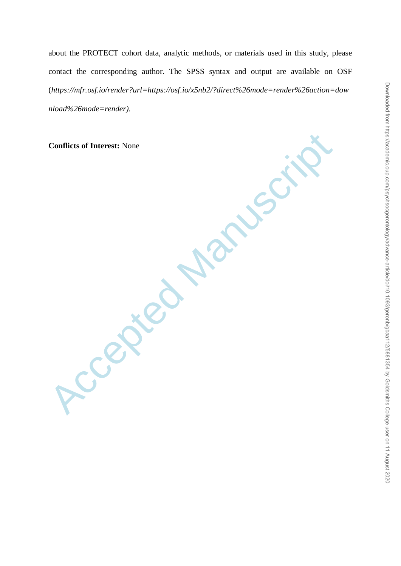about the PROTECT cohort data, analytic methods, or materials used in this study, please contact the corresponding author. The SPSS syntax and output are available on OSF (*https://mfr.osf.io/render?url=https://osf.io/x5nb2/?direct%26mode=render%26action=dow nload%26mode=render).*

**Conflicts of Interest:** None

**Accepted**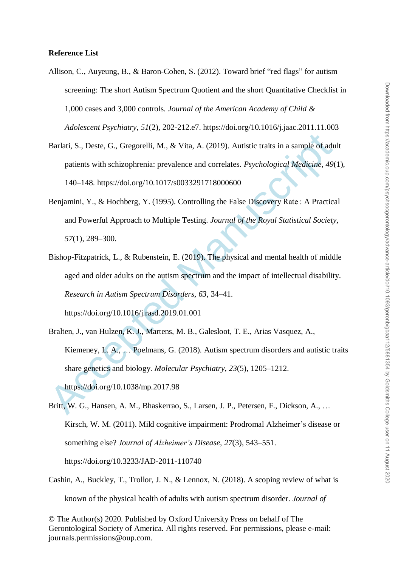#### **Reference List**

- Allison, C., Auyeung, B., & Baron-Cohen, S. (2012). Toward brief "red flags" for autism screening: The short Autism Spectrum Quotient and the short Quantitative Checklist in 1,000 cases and 3,000 controls. *Journal of the American Academy of Child & Adolescent Psychiatry*, *51*(2), 202-212.e7. https://doi.org/10.1016/j.jaac.2011.11.003
- Barlati, S., Deste, G., Gregorelli, M., & Vita, A. (2019). Autistic traits in a sample of adult patients with schizophrenia: prevalence and correlates. *Psychological Medicine*, *49*(1), 140–148. https://doi.org/10.1017/s0033291718000600
- Benjamini, Y., & Hochberg, Y. (1995). Controlling the False Discovery Rate : A Practical and Powerful Approach to Multiple Testing. *Journal of the Royal Statistical Society*, *57*(1), 289–300.
- Barlati, S., Deste, G., Gregorelli, M., & Vita, A. (2019). Autistic traits in a sample of adu<br>
patients with schizophrenia: prevalence and correlates. *Psychological Medicine*, 49(<br>
140–148. https://doi.org/10.1017/s00332 Bishop-Fitzpatrick, L., & Rubenstein, E. (2019). The physical and mental health of middle aged and older adults on the autism spectrum and the impact of intellectual disability. *Research in Autism Spectrum Disorders*, *63*, 34–41. https://doi.org/10.1016/j.rasd.2019.01.001
- Bralten, J., van Hulzen, K. J., Martens, M. B., Galesloot, T. E., Arias Vasquez, A., Kiemeney, L. A., … Poelmans, G. (2018). Autism spectrum disorders and autistic traits share genetics and biology. *Molecular Psychiatry*, *23*(5), 1205–1212. https://doi.org/10.1038/mp.2017.98
- Britt, W. G., Hansen, A. M., Bhaskerrao, S., Larsen, J. P., Petersen, F., Dickson, A., … Kirsch, W. M. (2011). Mild cognitive impairment: Prodromal Alzheimer's disease or something else? *Journal of Alzheimer's Disease*, *27*(3), 543–551. https://doi.org/10.3233/JAD-2011-110740
- Cashin, A., Buckley, T., Trollor, J. N., & Lennox, N. (2018). A scoping review of what is known of the physical health of adults with autism spectrum disorder. *Journal of*

© The Author(s) 2020. Published by Oxford University Press on behalf of The Gerontological Society of America. All rights reserved. For permissions, please e-mail: journals.permissions@oup.com.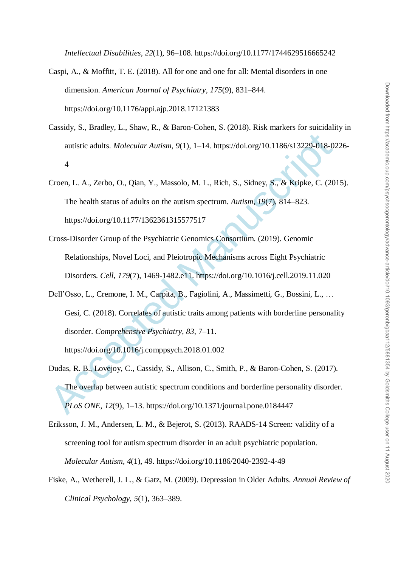*Intellectual Disabilities*, *22*(1), 96–108. https://doi.org/10.1177/1744629516665242

- Caspi, A., & Moffitt, T. E. (2018). All for one and one for all: Mental disorders in one dimension. *American Journal of Psychiatry*, *175*(9), 831–844. https://doi.org/10.1176/appi.ajp.2018.17121383
- Cassidy, S., Bradley, L., Shaw, R., & Baron-Cohen, S. (2018). Risk markers for suicidality in autistic adults. *Molecular Autism*, *9*(1), 1–14. https://doi.org/10.1186/s13229-018-0226- 4
- Croen, L. A., Zerbo, O., Qian, Y., Massolo, M. L., Rich, S., Sidney, S., & Kripke, C. (2015). The health status of adults on the autism spectrum. *Autism*, *19*(7), 814–823. https://doi.org/10.1177/1362361315577517
- Cross-Disorder Group of the Psychiatric Genomics Consortium. (2019). Genomic Relationships, Novel Loci, and Pleiotropic Mechanisms across Eight Psychiatric Disorders. *Cell*, *179*(7), 1469-1482.e11. https://doi.org/10.1016/j.cell.2019.11.020
- autistic adults. *Molecular Autism*, 9(1), 1–14. https://doi.org/10.1186/s13229-018-02<br>
4<br>
Croen, L. A., Zerbo, O., Qian, Y., Massolo, M. L., Rich, S., Sidney, S., & Kripke, C. (20<br>
The health status of adults on the auti Dell"Osso, L., Cremone, I. M., Carpita, B., Fagiolini, A., Massimetti, G., Bossini, L., … Gesi, C. (2018). Correlates of autistic traits among patients with borderline personality disorder. *Comprehensive Psychiatry*, *83*, 7–11.

https://doi.org/10.1016/j.comppsych.2018.01.002

- Dudas, R. B., Lovejoy, C., Cassidy, S., Allison, C., Smith, P., & Baron-Cohen, S. (2017). The overlap between autistic spectrum conditions and borderline personality disorder. *PLoS ONE*, *12*(9), 1–13. https://doi.org/10.1371/journal.pone.0184447
- Eriksson, J. M., Andersen, L. M., & Bejerot, S. (2013). RAADS-14 Screen: validity of a screening tool for autism spectrum disorder in an adult psychiatric population. *Molecular Autism*, *4*(1), 49. https://doi.org/10.1186/2040-2392-4-49
- Fiske, A., Wetherell, J. L., & Gatz, M. (2009). Depression in Older Adults. *Annual Review of Clinical Psychology*, *5*(1), 363–389.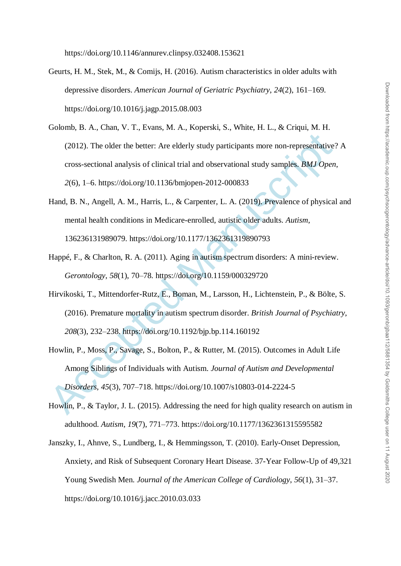https://doi.org/10.1146/annurev.clinpsy.032408.153621

- Geurts, H. M., Stek, M., & Comijs, H. (2016). Autism characteristics in older adults with depressive disorders. *American Journal of Geriatric Psychiatry*, *24*(2), 161–169. https://doi.org/10.1016/j.jagp.2015.08.003
- (2012). The older the better: Are elderly study participants more non-representative';<br>
cross-sectional analysis of clinical trial and observational study samples. *BMJ Open*<br>
2(6), 1–6. https://doi.org/10.1136/bmjopen-20 Golomb, B. A., Chan, V. T., Evans, M. A., Koperski, S., White, H. L., & Criqui, M. H. (2012). The older the better: Are elderly study participants more non-representative? A cross-sectional analysis of clinical trial and observational study samples. *BMJ Open*, *2*(6), 1–6. https://doi.org/10.1136/bmjopen-2012-000833
- Hand, B. N., Angell, A. M., Harris, L., & Carpenter, L. A. (2019). Prevalence of physical and mental health conditions in Medicare-enrolled, autistic older adults. *Autism*, 136236131989079. https://doi.org/10.1177/1362361319890793
- Happé, F., & Charlton, R. A. (2011). Aging in autism spectrum disorders: A mini-review. *Gerontology*, *58*(1), 70–78. https://doi.org/10.1159/000329720
- Hirvikoski, T., Mittendorfer-Rutz, E., Boman, M., Larsson, H., Lichtenstein, P., & Bölte, S. (2016). Premature mortality in autism spectrum disorder. *British Journal of Psychiatry*, *208*(3), 232–238. https://doi.org/10.1192/bjp.bp.114.160192
- Howlin, P., Moss, P., Savage, S., Bolton, P., & Rutter, M. (2015). Outcomes in Adult Life Among Siblings of Individuals with Autism. *Journal of Autism and Developmental Disorders*, *45*(3), 707–718. https://doi.org/10.1007/s10803-014-2224-5
- Howlin, P., & Taylor, J. L. (2015). Addressing the need for high quality research on autism in adulthood. *Autism*, *19*(7), 771–773. https://doi.org/10.1177/1362361315595582
- Janszky, I., Ahnve, S., Lundberg, I., & Hemmingsson, T. (2010). Early-Onset Depression, Anxiety, and Risk of Subsequent Coronary Heart Disease. 37-Year Follow-Up of 49,321 Young Swedish Men. *Journal of the American College of Cardiology*, *56*(1), 31–37. https://doi.org/10.1016/j.jacc.2010.03.033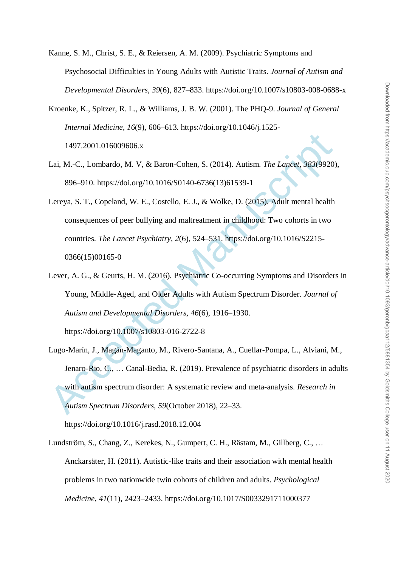- Kanne, S. M., Christ, S. E., & Reiersen, A. M. (2009). Psychiatric Symptoms and Psychosocial Difficulties in Young Adults with Autistic Traits. *Journal of Autism and Developmental Disorders*, *39*(6), 827–833. https://doi.org/10.1007/s10803-008-0688-x
- Kroenke, K., Spitzer, R. L., & Williams, J. B. W. (2001). The PHQ-9. *Journal of General Internal Medicine*, *16*(9), 606–613. https://doi.org/10.1046/j.1525- 1497.2001.016009606.x
- Lai, M.-C., Lombardo, M. V, & Baron-Cohen, S. (2014). Autism. *The Lancet*, *383*(9920), 896–910. https://doi.org/10.1016/S0140-6736(13)61539-1
- Lereya, S. T., Copeland, W. E., Costello, E. J., & Wolke, D. (2015). Adult mental health consequences of peer bullying and maltreatment in childhood: Two cohorts in two countries. *The Lancet Psychiatry*, *2*(6), 524–531. https://doi.org/10.1016/S2215- 0366(15)00165-0
- Lever, A. G., & Geurts, H. M. (2016). Psychiatric Co-occurring Symptoms and Disorders in Young, Middle-Aged, and Older Adults with Autism Spectrum Disorder. *Journal of Autism and Developmental Disorders*, *46*(6), 1916–1930. https://doi.org/10.1007/s10803-016-2722-8
- 1497.2001.016009606.x<br>
Lai, M.-C., Lombardo, M. V, & Baron-Cohen, S. (2014). Autism. The Lancet, 383(9920)<br>
896-910. https://doi.org/10.1016/S0140-6736(13)61539-1<br>
Lereya, S. T., Copeland, W. E., Costello, E. J., & Wolke, Lugo-Marín, J., Magán-Maganto, M., Rivero-Santana, A., Cuellar-Pompa, L., Alviani, M., Jenaro-Rio, C., … Canal-Bedia, R. (2019). Prevalence of psychiatric disorders in adults with autism spectrum disorder: A systematic review and meta-analysis. *Research in Autism Spectrum Disorders*, *59*(October 2018), 22–33.

https://doi.org/10.1016/j.rasd.2018.12.004

Lundström, S., Chang, Z., Kerekes, N., Gumpert, C. H., Rästam, M., Gillberg, C., … Anckarsäter, H. (2011). Autistic-like traits and their association with mental health problems in two nationwide twin cohorts of children and adults. *Psychological Medicine*, *41*(11), 2423–2433. https://doi.org/10.1017/S0033291711000377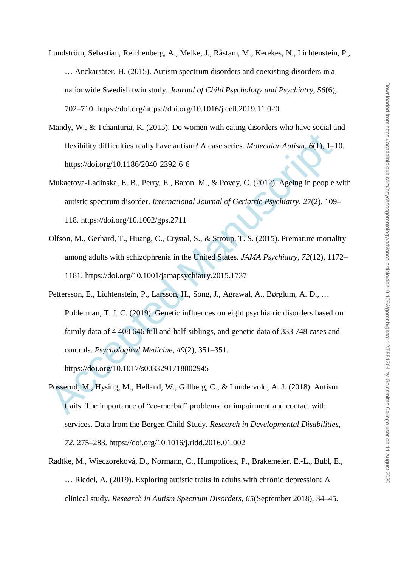- Downloaded from https://academic.oup.com/psychsocgerontology/advance-article/doi/10.1093/geronb/gbaa112/5881354 by Goldsmiths College user on 11 August 2020 Downloaded from https://academic.oup.com/psychsocgerontology/advance-article/doi/10.1093/geronb/gbaa112/5881354 by Goldsmiths College user on 11 August 2020
- Lundström, Sebastian, Reichenberg, A., Melke, J., Råstam, M., Kerekes, N., Lichtenstein, P., … Anckarsäter, H. (2015). Autism spectrum disorders and coexisting disorders in a nationwide Swedish twin study. *Journal of Child Psychology and Psychiatry*, *56*(6), 702–710. https://doi.org/https://doi.org/10.1016/j.cell.2019.11.020
- Mandy, W., & Tchanturia, K. (2015). Do women with eating disorders who have social and flexibility difficulties really have autism? A case series. *Molecular Autism*, *6*(1), 1–10. https://doi.org/10.1186/2040-2392-6-6
- Mukaetova-Ladinska, E. B., Perry, E., Baron, M., & Povey, C. (2012). Ageing in people with autistic spectrum disorder. *International Journal of Geriatric Psychiatry*, *27*(2), 109– 118. https://doi.org/10.1002/gps.2711
- Olfson, M., Gerhard, T., Huang, C., Crystal, S., & Stroup, T. S. (2015). Premature mortality among adults with schizophrenia in the United States. *JAMA Psychiatry*, *72*(12), 1172– 1181. https://doi.org/10.1001/jamapsychiatry.2015.1737
- The intrinsic reality of the autom? A case series. *Molecular Autism*,  $6(1)$ ,  $1-$ <br>https://doi.org/10.1186/2040-2392-6-6<br>Mukaetova-Ladinska, E. B., Perry, E., Baron, M., & Povey, C. (2012). Ageing in people<br>autistic spec Pettersson, E., Lichtenstein, P., Larsson, H., Song, J., Agrawal, A., Børglum, A. D., … Polderman, T. J. C. (2019). Genetic influences on eight psychiatric disorders based on family data of 4 408 646 full and half-siblings, and genetic data of 333 748 cases and controls. *Psychological Medicine*, *49*(2), 351–351. https://doi.org/10.1017/s0033291718002945
- Posserud, M., Hysing, M., Helland, W., Gillberg, C., & Lundervold, A. J. (2018). Autism traits: The importance of "co-morbid" problems for impairment and contact with services. Data from the Bergen Child Study. *Research in Developmental Disabilities*, *72*, 275–283. https://doi.org/10.1016/j.ridd.2016.01.002
- Radtke, M., Wieczoreková, D., Normann, C., Humpolicek, P., Brakemeier, E.-L., Bubl, E., … Riedel, A. (2019). Exploring autistic traits in adults with chronic depression: A clinical study. *Research in Autism Spectrum Disorders*, *65*(September 2018), 34–45.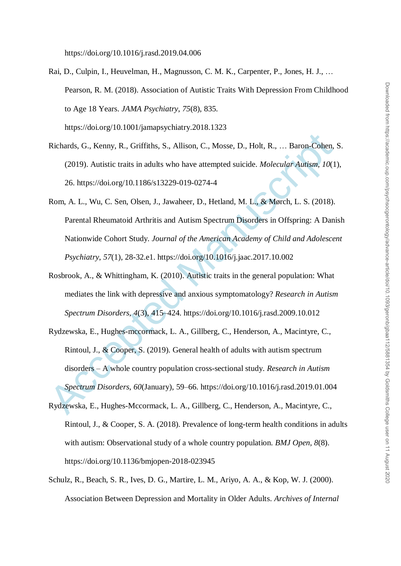https://doi.org/10.1016/j.rasd.2019.04.006

- Rai, D., Culpin, I., Heuvelman, H., Magnusson, C. M. K., Carpenter, P., Jones, H. J., … Pearson, R. M. (2018). Association of Autistic Traits With Depression From Childhood to Age 18 Years. *JAMA Psychiatry*, *75*(8), 835. https://doi.org/10.1001/jamapsychiatry.2018.1323
- Richards, G., Kenny, R., Griffiths, S., Allison, C., Mosse, D., Holt, R., … Baron-Cohen, S. (2019). Autistic traits in adults who have attempted suicide. *Molecular Autism*, *10*(1), 26. https://doi.org/10.1186/s13229-019-0274-4
- Rom, A. L., Wu, C. Sen, Olsen, J., Jawaheer, D., Hetland, M. L., & Mørch, L. S. (2018). Parental Rheumatoid Arthritis and Autism Spectrum Disorders in Offspring: A Danish Nationwide Cohort Study. *Journal of the American Academy of Child and Adolescent Psychiatry*, *57*(1), 28-32.e1. https://doi.org/10.1016/j.jaac.2017.10.002
- Rosbrook, A., & Whittingham, K. (2010). Autistic traits in the general population: What mediates the link with depressive and anxious symptomatology? *Research in Autism Spectrum Disorders*, *4*(3), 415–424. https://doi.org/10.1016/j.rasd.2009.10.012
- Richards, G., Kenny, R., Griffiths, S., Allison, C., Mosse, D., Holt, R., ... Baron-Cohen,<br>
(2019). Autistic traits in adults who have attempted suicide. *Molecular Autism*, 10(1<br>
26. https://doi.org/10.1186/s13229-019-027 Rydzewska, E., Hughes-mccormack, L. A., Gillberg, C., Henderson, A., Macintyre, C., Rintoul, J., & Cooper, S. (2019). General health of adults with autism spectrum disorders – A whole country population cross-sectional study. *Research in Autism Spectrum Disorders*, *60*(January), 59–66. https://doi.org/10.1016/j.rasd.2019.01.004
- Rydzewska, E., Hughes-Mccormack, L. A., Gillberg, C., Henderson, A., Macintyre, C., Rintoul, J., & Cooper, S. A. (2018). Prevalence of long-term health conditions in adults with autism: Observational study of a whole country population. *BMJ Open*, *8*(8). https://doi.org/10.1136/bmjopen-2018-023945
- Schulz, R., Beach, S. R., Ives, D. G., Martire, L. M., Ariyo, A. A., & Kop, W. J. (2000). Association Between Depression and Mortality in Older Adults. *Archives of Internal*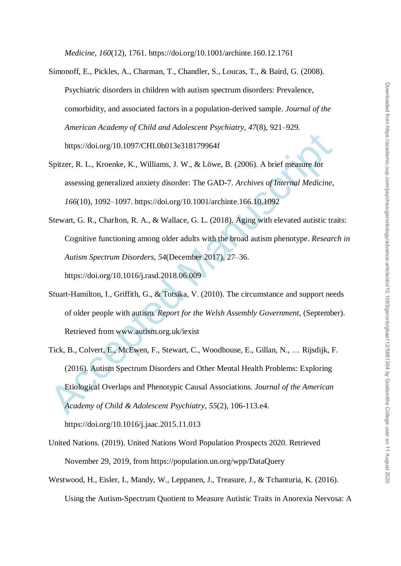*Medicine*, *160*(12), 1761. https://doi.org/10.1001/archinte.160.12.1761

- Simonoff, E., Pickles, A., Charman, T., Chandler, S., Loucas, T., & Baird, G. (2008). Psychiatric disorders in children with autism spectrum disorders: Prevalence, comorbidity, and associated factors in a population-derived sample. *Journal of the American Academy of Child and Adolescent Psychiatry*, *47*(8), 921–929. https://doi.org/10.1097/CHI.0b013e318179964f
- Spitzer, R. L., Kroenke, K., Williams, J. W., & Löwe, B. (2006). A brief measure for assessing generalized anxiety disorder: The GAD-7. *Archives of Internal Medicine*, *166*(10), 1092–1097. https://doi.org/10.1001/archinte.166.10.1092
- Stewart, G. R., Charlton, R. A., & Wallace, G. L. (2018). Aging with elevated autistic traits: Cognitive functioning among older adults with the broad autism phenotype. *Research in Autism Spectrum Disorders*, *54*(December 2017), 27–36. https://doi.org/10.1016/j.rasd.2018.06.009
- Stuart-Hamilton, I., Griffith, G., & Totsika, V. (2010). The circumstance and support needs of older people with autism. *Report for the Welsh Assembly Government*, (September). Retrieved from www.autism.org.uk/iexist
- https://doi.org/10.1097/CHL0b013e318179964f<br>
Spitzer, R. L., Kroenke, K., Williams, J. W., & Löwe, B. (2006). A brief measure for<br>
assessing generalized anxiety disorder: The GAD-7. Archives of Internal Medicine,<br>
166(10), Tick, B., Colvert, E., McEwen, F., Stewart, C., Woodhouse, E., Gillan, N., … Rijsdijk, F. (2016). Autism Spectrum Disorders and Other Mental Health Problems: Exploring Etiological Overlaps and Phenotypic Causal Associations. *Journal of the American Academy of Child & Adolescent Psychiatry*, *55*(2), 106-113.e4. https://doi.org/10.1016/j.jaac.2015.11.013
- United Nations. (2019). United Nations Word Population Prospects 2020. Retrieved November 29, 2019, from https://population.un.org/wpp/DataQuery
- Westwood, H., Eisler, I., Mandy, W., Leppanen, J., Treasure, J., & Tchanturia, K. (2016). Using the Autism-Spectrum Quotient to Measure Autistic Traits in Anorexia Nervosa: A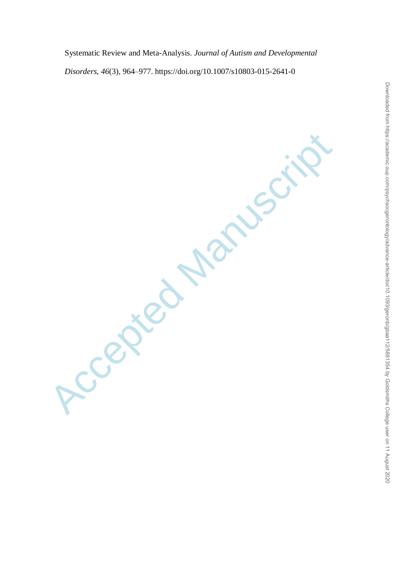Systematic Review and Meta-Analysis. *Journal of Autism and Developmental Disorders*, *46*(3), 964–977. https://doi.org/10.1007/s10803-015-2641-0

Accepted Manuscript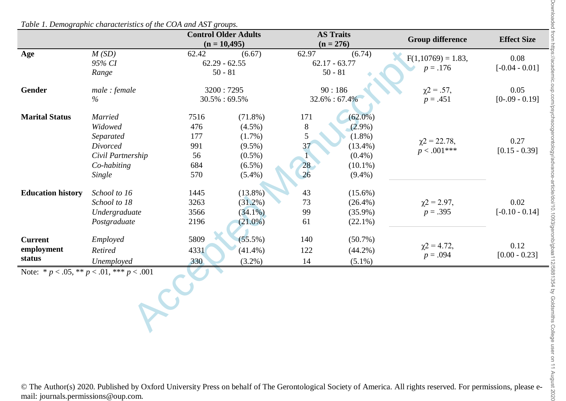|                                        |                                                                                        | <b>Control Older Adults</b><br><b>AS Traits</b><br>$(n = 10,495)$<br>$(n = 276)$ |                                                                                |                                  | <b>Group difference</b>                                                         | <b>Effect Size</b>                 |                          |
|----------------------------------------|----------------------------------------------------------------------------------------|----------------------------------------------------------------------------------|--------------------------------------------------------------------------------|----------------------------------|---------------------------------------------------------------------------------|------------------------------------|--------------------------|
| Age                                    | M(SD)<br>95% CI                                                                        | 62.42<br>$62.29 - 62.55$                                                         | (6.67)                                                                         | 62.97                            | (6.74)<br>$62.17 - 63.77$                                                       | $F(1,10769) = 1.83,$<br>$p = .176$ | 0.08<br>$[-0.04 - 0.01]$ |
|                                        | Range                                                                                  | $50 - 81$                                                                        |                                                                                |                                  | $50 - 81$                                                                       |                                    |                          |
| Gender                                 | male: female<br>$\%$                                                                   |                                                                                  | 3200:7295<br>$30.5\% : 69.5\%$                                                 |                                  | 90:186<br>32.6%: 67.4%                                                          | $\chi$ 2 = .57,<br>$p = .451$      | 0.05<br>$[0-.09 - 0.19]$ |
| <b>Marital Status</b>                  | <b>Married</b><br>Widowed<br>Separated<br>Divorced<br>Civil Partnership                | 7516<br>476<br>177<br>991<br>56                                                  | $(71.8\%)$<br>$(4.5\%)$<br>$(1.7\%)$<br>$(9.5\%)$<br>$(0.5\%)$                 | 171<br>$8\phantom{.}$<br>5<br>37 | $(62.0\%)$<br>$(2.9\%)$<br>$(1.8\%)$<br>$(13.4\%)$<br>$(0.4\%)$                 | $\chi$ 2 = 22.78,<br>$p < .001***$ | 0.27<br>$[0.15 - 0.39]$  |
| <b>Education history</b>               | Co-habiting<br>Single<br>School to 16<br>School to 18<br>Undergraduate<br>Postgraduate | 684<br>570<br>1445<br>3263<br>3566<br>2196                                       | $(6.5\%)$<br>$(5.4\%)$<br>$(13.8\%)$<br>$(31.2\%)$<br>$(34.1\%)$<br>$(21.0\%)$ | 28<br>26<br>43<br>73<br>99<br>61 | $(10.1\%)$<br>$(9.4\%)$<br>$(15.6\%)$<br>$(26.4\%)$<br>$(35.9\%)$<br>$(22.1\%)$ | $\chi$ 2 = 2.97,<br>$p = .395$     | 0.02<br>$[-0.10 - 0.14]$ |
| <b>Current</b><br>employment<br>status | Employed<br>Retired<br>Unemployed                                                      | 5809<br>4331<br>330                                                              | $(55.5\%)$<br>$(41.4\%)$<br>$(3.2\%)$                                          | 140<br>122<br>14                 | $(50.7\%)$<br>$(44.2\%)$<br>$(5.1\%)$                                           | $\chi$ 2 = 4.72,<br>$p = .094$     | 0.12<br>$[0.00 - 0.23]$  |
|                                        | Note: * $p < .05$ , ** $p < .01$ , *** $p < .001$                                      |                                                                                  |                                                                                |                                  |                                                                                 |                                    |                          |

*Table 1. Demographic characteristics of the COA and AST groups.*

© The Author(s) 2020. Published by Oxford University Press on behalf of The Gerontological Society of America. All rights reserved. For permissions, please email: journals.permissions@oup.com.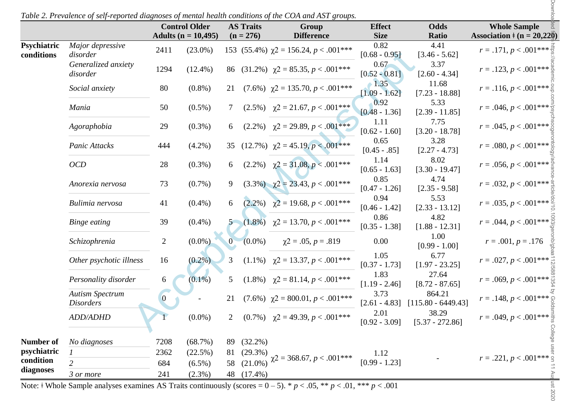|                           |                                            | <b>Control Older</b> |                         | <b>AS Traits</b> |            | Group                                          | <b>Effect</b>              | <b>Odds</b>                                    | <b>Whole Sample</b>                 |  |
|---------------------------|--------------------------------------------|----------------------|-------------------------|------------------|------------|------------------------------------------------|----------------------------|------------------------------------------------|-------------------------------------|--|
|                           | Major depressive                           |                      | Adults ( $n = 10,495$ ) | $(n = 276)$      |            | <b>Difference</b>                              | <b>Size</b><br>0.82        | Ratio<br>4.41                                  | Association $\neq$ (n = 20,220)     |  |
| Psychiatric<br>conditions | disorder                                   | 2411                 | $(23.0\%)$              |                  |            | 153 (55.4%) $\chi$ 2 = 156.24, p < .001***     | $[0.68 - 0.95]$            | $[3.46 - 5.62]$                                | $r = .171, p < .001***$             |  |
|                           | Generalized anxiety<br>disorder            | 1294                 | $(12.4\%)$              |                  |            | 86 (31.2%) $\gamma$ 2 = 85.35, p < .001***     | 0.67<br>$[0.52 - 0.81]$    | 3.37<br>$[2.60 - 4.34]$                        | $r = .123, p < .001***$             |  |
|                           | Social anxiety                             | 80                   | $(0.8\%)$               | 21               |            | $(7.6\%)$ $\chi$ 2 = 135.70, p < .001***       | $-1.35$<br>$[1.09 - 1.62]$ | 11.68<br>$[7.23 - 18.88]$                      | $r = .116, p < .001*** \frac{8}{5}$ |  |
|                           | Mania                                      | 50                   | $(0.5\%)$               | 7                |            | $(2.5\%)$ $\chi$ 2 = 21.67, <i>p</i> < .001*** | 0.92<br>$[0.48 - 1.36]$    | 5.33<br>$[2.39 - 11.85]$                       | $r = .046, p < .001***$             |  |
|                           | Agoraphobia                                | 29                   | $(0.3\%)$               | 6                |            | $(2.2\%)$ $\chi$ 2 = 29.89, p < .001***        | 1.11<br>$[0.62 - 1.60]$    | 7.75<br>$[3.20 - 18.78]$                       | $r = .045, p < .001***$             |  |
|                           | Panic Attacks                              | 444                  | $(4.2\%)$               | 35               |            | $(12.7\%)$ $\gamma$ 2 = 45.19, p < .001***     | 0.65<br>$[0.45-.85]$       | 3.28<br>$[2.27 - 4.73]$                        | $r = .080, p < .001***$             |  |
|                           | OCD                                        | 28                   | $(0.3\%)$               | 6                |            | $(2.2\%)$ $\gamma$ 2 = 31.08, p < .001***      | 1.14<br>$[0.65 - 1.63]$    | 8.02<br>$[3.30 - 19.47]$                       | $r = .056, p < .001***$             |  |
|                           | Anorexia nervosa                           | 73                   | $(0.7\%)$               | 9                |            | $(3.3\%)$ $\chi$ 2 = 23.43, p < .001***        | 0.85<br>$[0.47 - 1.26]$    | 4.74<br>$[2.35 - 9.58]$                        | $r = .032, p < .001***$             |  |
|                           | Bulimia nervosa                            | 41                   | $(0.4\%)$               | 6                |            | $(2.2\%)$ $\chi$ 2 = 19.68, p < .001***        | 0.94<br>$[0.46 - 1.42]$    | 5.53<br>$[2.33 - 13.12]$                       | $r = .035, p < .001***$             |  |
|                           | Binge eating                               | 39                   | $(0.4\%)$               |                  |            | $(1.8\%)$ $\chi$ 2 = 13.70, p < .001***        | 0.86<br>$[0.35 - 1.38]$    | 4.82<br>$[1.88 - 12.31]$                       | $r = .044, p < .001***$             |  |
|                           | Schizophrenia                              | $\overline{2}$       | $(0.0\%)$               | $\bf{0}$         | $(0.0\%)$  | $\chi$ 2 = .05, p = .819                       | 0.00                       | 1.00<br>$[0.99 - 1.00]$                        | $r = .001, p = .176$                |  |
|                           | Other psychotic illness                    | 16                   | $(0.2\%)$               | 3                |            | $(1.1\%)$ $\chi$ 2 = 13.37, <i>p</i> < .001*** | 1.05<br>$[0.37 - 1.73]$    | 6.77<br>$[1.97 - 23.25]$                       | $r = .027, p < .001***$             |  |
|                           | Personality disorder                       | 6                    | $(0.1\%)$               | 5                |            | $(1.8\%)$ $\chi$ 2 = 81.14, p < .001***        | 1.83<br>$[1.19 - 2.46]$    | 27.64<br>$[8.72 - 87.65]$                      | $r = .069, p < .001***$             |  |
|                           | <b>Autism Spectrum</b><br><i>Disorders</i> | $\overline{0}$       |                         | 21               |            | $(7.6\%)$ $\chi$ 2 = 800.01, p < .001***       | 3.73                       | 864.21<br>$[2.61 - 4.83]$ $[115.80 - 6449.43]$ | $r = .148, p < .001***$             |  |
|                           | <b>ADD/ADHD</b>                            |                      | $(0.0\%)$               | 2                |            | $(0.7\%)$ $\chi$ 2 = 49.39, p < .001***        | 2.01<br>$[0.92 - 3.09]$    | 38.29<br>$[5.37 - 272.86]$                     | $r = .049, p < .001***$             |  |
| <b>Number of</b>          | No diagnoses                               | 7208                 | (68.7%)                 |                  | 89 (32.2%) |                                                |                            |                                                | College                             |  |
| psychiatric               |                                            | 2362                 | (22.5%)                 | 81               | (29.3%)    | $\chi$ 2 = 368.67, <i>p</i> < .001***          | 1.12                       |                                                | $r = .221, p < .001***$             |  |
| condition<br>diagnoses    |                                            | 684                  | $(6.5\%)$               | 58               | $(21.0\%)$ |                                                | $[0.99 - 1.23]$            |                                                |                                     |  |
|                           | 3 or more                                  | 241                  | $(2.3\%)$               |                  | 48 (17.4%) |                                                |                            |                                                | August 2020                         |  |

 $=$ nst 2020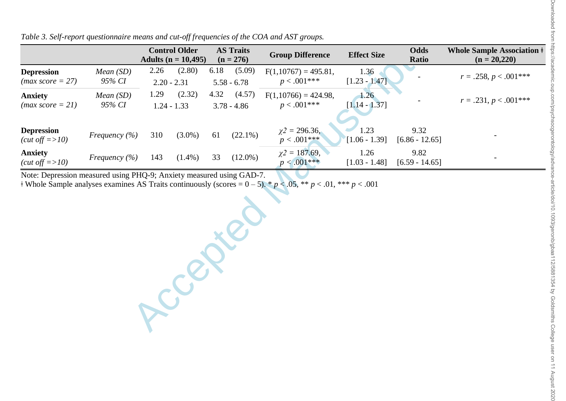|                                                  |                    |      | <b>Control Older</b><br>Adults ( $n = 10,495$ ) |      | <b>AS Traits</b><br>$(n = 276)$ | <b>Group Difference</b>                        | <b>Effect Size</b>      | <b>Odds</b><br>Ratio     | <b>Whole Sample Association ‡</b><br>$(n = 20,220)$ |
|--------------------------------------------------|--------------------|------|-------------------------------------------------|------|---------------------------------|------------------------------------------------|-------------------------|--------------------------|-----------------------------------------------------|
| <b>Depression</b><br>$(max score = 27)$          | Mean(SD)<br>95% CI | 2.26 | (2.80)<br>$2.20 - 2.31$                         | 6.18 | (5.09)<br>$5.58 - 6.78$         | $F(1,10767) = 495.81,$<br>$p < .001***$        | 1.36<br>$[1.23 - 1.47]$ |                          | $r = .258, p < .001***$                             |
| <b>Anxiety</b><br>$(max score = 21)$             | Mean(SD)<br>95% CI | 1.29 | (2.32)<br>$1.24 - 1.33$                         | 4.32 | (4.57)<br>$3.78 - 4.86$         | $F(1,10766) = 424.98$ ,<br>$p < .001***$       | 1.26<br>$[1.14 - 1.37]$ |                          | $r = .231, p < .001***$                             |
| <b>Depression</b><br>$(cut \text{ off} = >10)$   | Frequency $(\% )$  | 310  | $(3.0\%)$                                       | 61   | $(22.1\%)$                      | $\chi$ <sup>2</sup> = 296.36,<br>$p < .001***$ | 1.23<br>$[1.06 - 1.39]$ | 9.32<br>$[6.86 - 12.65]$ |                                                     |
| <b>Anxiety</b><br>$(cut \text{ off} \equiv >10)$ | Frequency $(\% )$  | 143  | $(1.4\%)$                                       | 33   | $(12.0\%)$                      | $\chi$ 2 = 187.69,<br>$p < .001***$            | 1.26<br>$[1.03 - 1.48]$ | 9.82<br>$[6.59 - 14.65]$ |                                                     |

*Table 3. Self-report questionnaire means and cut-off frequencies of the COA and AST groups.*

Note: Depression measured using PHQ-9; Anxiety measured using GAD-7.

 $\frac{1}{4}$  Whole Sample analyses examines AS Traits continuously (scores = 0 – 5). \* *p* < .05, \*\* *p* < .01, \*\*\* *p* < .001

Accepter